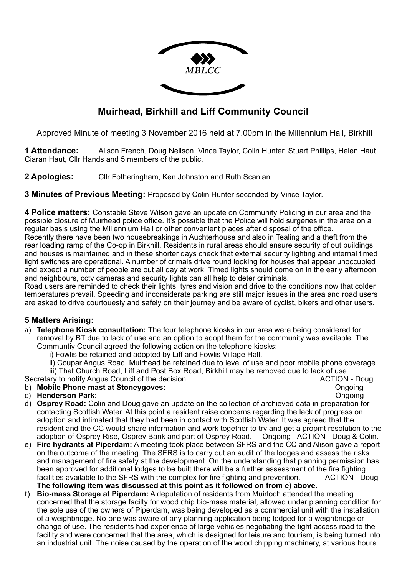

## **Muirhead, Birkhill and Liff Community Council**

Approved Minute of meeting 3 November 2016 held at 7.00pm in the Millennium Hall, Birkhill

**1 Attendance:** Alison French, Doug Neilson, Vince Taylor, Colin Hunter, Stuart Phillips, Helen Haut, Ciaran Haut, Cllr Hands and 5 members of the public.

**2 Apologies:** Cllr Fotheringham, Ken Johnston and Ruth Scanlan.

**3 Minutes of Previous Meeting:** Proposed by Colin Hunter seconded by Vince Taylor.

**4 Police matters:** Constable Steve Wilson gave an update on Community Policing in our area and the possible closure of Muirhead police office. It's possible that the Police will hold surgeries in the area on a regular basis using the Millennium Hall or other convenient places after disposal of the office.

Recently there have been two housebreakings in Auchterhouse and also in Tealing and a theft from the rear loading ramp of the Co-op in Birkhill. Residents in rural areas should ensure security of out buildings and houses is maintained and in these shorter days check that external security lighting and internal timed light switches are operational. A number of crimals drive round looking for houses that appear unoccupied and expect a number of people are out all day at work. Timed lights should come on in the early afternoon and neighbours, cctv cameras and security lights can all help to deter criminals.

Road users are reminded to check their lights, tyres and vision and drive to the conditions now that colder temperatures prevail. Speeding and inconsiderate parking are still major issues in the area and road users are asked to drive courtouesly and safely on their journey and be aware of cyclist, bikers and other users.

### **5 Matters Arising:**

- a) **Telephone Kiosk consultation:** The four telephone kiosks in our area were being considered for removal by BT due to lack of use and an option to adopt them for the community was available. The Communtiy Council agreed the following action on the telephone kiosks:
	- i) Fowlis be retained and adopted by Liff and Fowlis Village Hall.
	- ii) Coupar Angus Road, Muirhead be retained due to level of use and poor mobile phone coverage.

 iii) That Church Road, Liff and Post Box Road, Birkhill may be removed due to lack of use. Secretary to notify Angus Council of the decision ACTION - Doug b) **Mobile Phone mast at Stoneygoves:** Ongoing and the United States of the United States of the United States of the United States of the United States of the United States of the United States of the United States of the

# c) **Henderson Park:** Ongoing

- d) **Osprey Road:** Colin and Doug gave an update on the collection of archieved data in preparation for contacting Scottish Water. At this point a resident raise concerns regarding the lack of progress on adoption and intimated that they had been in contact with Scottish Water. It was agreed that the resident and the CC would share information and work together to try and get a propmt resolution to the adoption of Osprey Rise, Osprey Bank and part of Osprey Road. Ongoing - ACTION - Doug & Colin.
- e) **Fire hydrants at Piperdam:** A meeting took place between SFRS and the CC and Alison gave a report on the outcome of the meeting. The SFRS is to carry out an audit of the lodges and assess the risks and management of fire safety at the development. On the understanding that planning permission has been approved for additional lodges to be built there will be a further assessment of the fire fighting facilities available to the SFRS with the complex for fire fighting and prevention. ACTION - Doug **The following item was discussed at this point as it followed on from e) above.**
- f) **Bio-mass Storage at Piperdam:** A deputation of residents from Muirloch attended the meeting concerned that the storage facilty for wood chip bio-mass material, allowed under planning condition for the sole use of the owners of Piperdam, was being developed as a commercial unit with the installation of a weighbridge. No-one was aware of any planning application being lodged for a weighbridge or change of use. The residents had experience of large vehicles negotiating the tight access road to the facility and were concerned that the area, which is designed for leisure and tourism, is being turned into an industrial unit. The noise caused by the operation of the wood chipping machinery, at various hours